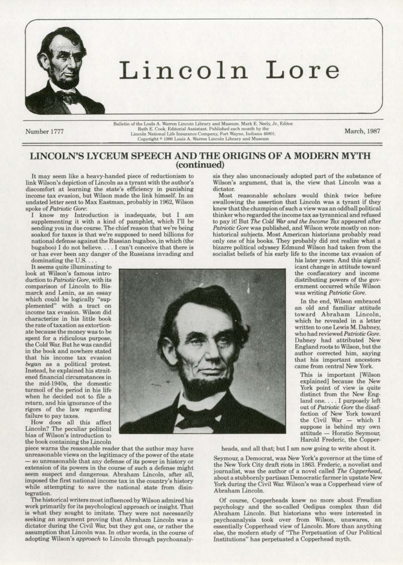

Number 1777

Bulletin of the Louis A. Warren Lincoln Library and Museum. Mark E. Neely, Jr., Editor. Ruth E. Cook, Editorial Assistant. Published each month by the Lincoln National Life Insurance Company, Fort Wayne, Indiana 46801. Copyright <sup>®</sup> 1986 Louis A. Warren Lincoln Library and Museum

March, 1987

## LINCOLN'S LYCEUM SPEECH AND THE ORIGINS OF A MODERN MYTH (continued)

It may seem like a heavy-handed piece of reductionism to link Wilson's depiction of Lincoln as a tyrant with the author's discomfort at learning the state's efficiency in punishing income tax evasion, but Wilson made the link himself. In an undated letter sent to Max Eastman, probably in 1962, Wilson spoke of Patriotic Gore:

I know my Introduction is inadequate, but I am supplementing it with a kind of pamphlet, which I'll be sending you in due course. The chief reason that we're being soaked for taxes is that we're supposed to need billions for national defense against the Russian bugaboo, in which (the bugaboo) I do not believe. . . . I can't conceive that there is or has ever been any danger of the Russians invading and dominating the U.S...

It seems quite illuminating to look at Wilson's famous introduction to Patriotic Gore, with its comparison of Lincoln to Bismarck and Lenin, as an essay which could be logically "supplemented" with a tract on<br>income tax evasion. Wilson did characterize in his little book the rate of taxation as extortionate because the money was to be spent for a ridiculous purpose, the Cold War. But he was candid in the book and nowhere stated that his income tax evasion began as a political protest. Instead, he explained his straitened financial circumstances in the mid-1940s, the domestic turmoil of the period in his life when he decided not to file a return, and his ignorance of the rigors of the law regarding failure to pay taxes.

How does all this affect<br>Lincoln? The peculiar political bias of Wilson's introduction to the book containing the Lincoln

piece warns the reasonable reader that the author may have unreasonable views on the legitimacy of the power of the state - so unreasonable that any defense of its power in history or extension of its powers in the course of such a defense might seem suspect and dangerous. Abraham Lincoln, after all, imposed the first national income tax in the country's history while attempting to save the national state from disintegration.

The historical writers most influenced by Wilson admired his work primarily for its psychological approach or insight. That is what they sought to imitate. They were not necessarily seeking an argument proving that Abraham Lincoln was a dictator during the Civil War, but they got one, or rather the assumption that Lincoln was. In other words, in the course of adopting Wilson's approach to Lincoln through psychoanalysis they also unconsciously adopted part of the substance of Wilson's argument, that is, the view that Lincoln was a dictator.

Most reasonable scholars would think twice before swallowing the assertion that Lincoln was a tyrant if they knew that the champion of such a view was an oddball political thinker who regarded the income tax as tyrannical and refused to pay it! But The Cold War and the Income Tax appeared after Patriotic Gore was published, and Wilson wrote mostly on nonhistorical subjects. Most American historians probably read only one of his books. They probably did not realize what a bizarre political odyssey Edmund Wilson had taken from the socialist beliefs of his early life to the income tax evasion of



his later years. And this significant change in attitude toward the confiscatory and income distributing powers of the government occurred while Wilson was writing Patriotic Gore.

In the end, Wilson embraced an old and familiar attitude toward Abraham Lincoln, which he revealed in a letter written to one Lewis M. Dabney, who had reviewed Patriotic Gore. Dabney had attributed New England roots to Wilson, but the<br>author corrected him, saying that his important ancestors came from central New York.

This is important [Wilson explained] because the New York point of view is quite distinct from the New England one.... I purposely left out of Patriotic Gore the disaffection of New York toward the Civil War - which I suppose is behind my own attitude - Horatio Seymour, Harold Frederic, the Copper-

heads, and all that; but I am now going to write about it.

Seymour, a Democrat, was New York's governor at the time of the New York City draft riots in 1863. Frederic, a novelist and journalist, was the author of a novel called The Copperhead, about a stubbornly partisan Democratic farmer in upstate New York during the Civil War. Wilson's was a Copperhead view of Abraham Lincoln.

Of course, Copperheads knew no more about Freudian psychology and the so-called Oedipus complex than did Abraham Lincoln. But historians who were interested in psychoanalysis took over from Wilson, unawares, an essentially Copperhead view of Lincoln. More than anything else, the modern study of "The Perpetuation of Our Political Institutions" has perpetuated a Copperhead myth.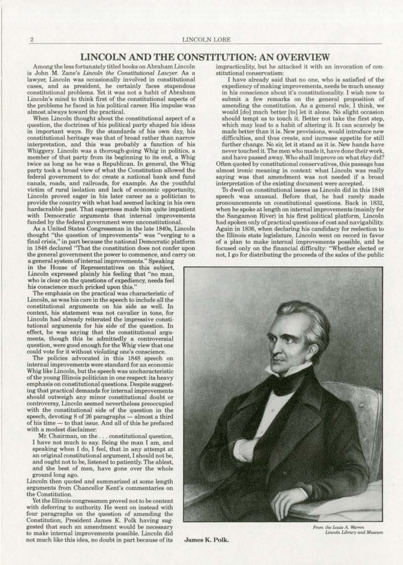## **LINCOLN AND THE CONSTITUTION: AN OVERVIEW**

Among the less fortunately titled books on Abraham Lincoln is John M. Zane's *Lincoln the Constitutional Lawyer*. As a **lawyer, Lincoln was occasionally involved in constitutional**  cases, and as president, he certainly faces stupendous **constitutional problems. Yet it was not a habit of Abraham**  Lincoln's mind to think first of the constitutional aspects of the problems he faced in his political career. His impulse was almost always toward the practical.

When Lincoln thought about the constitutional aspect of a question, the doctrines of his political party shaped his ideas in important ways. By the standards of his own day, his constitutional heritage was that of broad rather than narrow interpretation, and this was probably a function of his Whiggery. Lincoln was a thorough-going Whig in politics, a member of that party from its beginning to its end, a Whig twice as long as he was a Republican. In general, the Whig party took a broad view of what the Constitution allowed the federal government to do: create a national bank and fund canals. roads, and railroads, for example. As the youthful victim of rural isolation and lack of economic opportunity, **Uncoln proved eager in his later career as a politician to**  provide the country with what had seemed lacking in his own with Democratic arguments that internal improvements funded by the federal government were unconstitutional.

As a United States Congressman in the late 1840s, Lincoln **thought "the question of improvements" was "verging** *to* **a**  final crisis," in part because the national Democratic platform in 1848 declared "That the constitution does not confer upon **the general government the power to commence, and carry on** 

a general system of internal improvements." Speaking in the House of Representatives on this subject, Lincoln expressed plainly his feeling that "no man, who is clear on the questions of expediency, needs feel **his conscience much pricked upon this."** 

**The emphasis on the practical was characteristic of**  Lincoln, as was his care in the speeeb to include all the constitutional arguments on his side as well. In context, his statement was not cavalier in tone, for Lincoln had already reiterated the impressive constitutional arguments for his side of the question. In **effect, he was saying that the constitutional argu.**  ments, though this be admittedly a controversial **question, were good enough for the Whig view that one oould vote for it without violating one's conscience.** 

The policies advocated in this 1848 speech on **internal improvements were standard for an economic**  Whig like Lincoln, but the speech was uncharacteristic of the young Illinois politician in one respect: its heavy **emphasis on constitutional questions. Despite suggest,.**  ing that practical demands for internal improvements **should outweigh any minor constitutional doubt or controversy, Uncoln seemed nevertheless preoccupied with the constitutional side of the question in the**  speech, devoting  $8$  of  $26$  paragraphs  $-$  almost a third of his time - to that issue. And all of this he prefaced with a modest diselaimer:

**Mr. Chairman, on the .** .. **constitutional question,**  I have not much to say. Being the man I am, and speaking when I do, I feel, that in any attempt at an original constitutional argument, I should not be, and ought not to be, listened to patiently. The ablest, **and the best of men, have gone over the whole**  ground long ago.

l.incoln then quoted and summarized at some length **arguments from Chancellor Kent's commentaries on the Constitution.** 

with deferring to authority. He went on instead with four paragraphs on the question of amending the Constitution, President James K. Polk having sug**gested that such an amendment would be necessary**  to make internal improvements possible. Lincoln did not much like this idea, no doubt in part because of its James R. Polk.

impracticality, but he attacked it with an invocation of con**stitutional conservatism;** 

I have already said that no one. who is satisfied of the **expediency of making improvements, needs be much uneasy in his conscience about it's constitutionality. I wish now to submit a few remarks on the general proposition of amending the constitution. As a genera] rule, I think, we**  would [do] much better [to] Jet it alone. No slight occasion should tempt us to touch it. Better not take the first step, which may lead to a habit of altering it. It can scarcely be **made better than it is. New provisions. would introduce new**  difficulties, and thus create, and increase appetite for still further change. No sir, let it stand as it is. New hands have **never touched it. The men who made it, have done their work,** and have passed away. Who shall improve on what tlley did? Often quoted by constitutional conservatives, this passage has **almost ironic meaning in context: what Lincoln was really**  saying was that amendment was not needed if a broad interpretation of the existing document were accepted.

To dwell on constitutional issues as Lincoln did in this 1848 speech was unusual. Before that, he had rarely made **pronouncements on constitutional questions. Back in 1832,**  when he spoke at length on internal improvements (mainly for the Sangamon River) in his first political platform, Lincoln had spoken only of practical questions of cost and navigability. Again in 1836, when declaring his candidacy for reelection to the fllinois state legislature, Lincoln went on record in favor of a plan to make internal improvements possible, and he focused only on the financial difficulty: "Whether elected or not, I go for distributing the proceeds of the sales of the public



Lincoln Library and Museum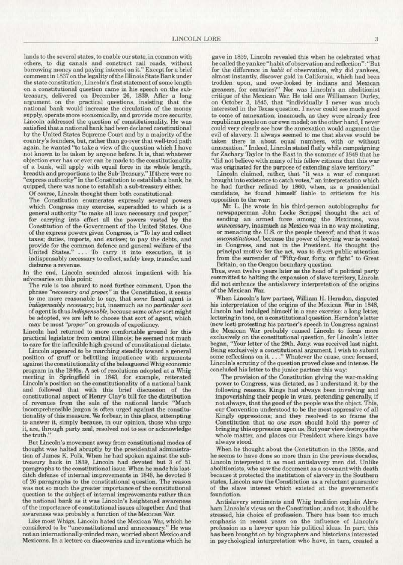**lands to the several states, to enable our state, in common witl) others, to dig canals and construct rail roads, without borrowing money and paying interest on it.." Except for a brief**  comment in 1837 on the legality of the Illinois State Bank under the state constitution, Lincoln's first statement of some length **on a constitutional question came in his speech on the sub-** treasury, delivered on December 26, 1889. After a long **argument on the practical questions, insisting that the national bank would increase the circulation of the money**  supply, operate more economically, and provide more security, Lincoln addressed tbe question of constitutionality. He was satisfied that a national bank bad been declared constitutional by the United States Supreme Court and by a majority of the country's founders, but, rather than go over that well-trod path again, he wanted "to take a view of the question which I have not known to be taken by anyone before. II is, that whatever **objection ever has or ever can be made to the constitutionality**  of a bank, will apply with equal force in its whole length, "express authority" in the Constitution to establish a bank, he **quipped, there was none to establish a sub-treasury either.** 

Of course, Lincoln thought them both constitutional:

**The Constitution enumerates expressly several powers**  which Congress may exercise, superadded to which is a general authority "to make all laws necessary and proper." for carrying into effect all the powers vested by the Constitution of the Government of the United States. One of the express powers given Congress, is "1b lay and collect taxes; duties, imports, and excises; to pay the debts, and **provide for the common defence and general welfare of the**  United States." . . . To carry it into execution, it is indispensably necessary to collect, safely keep, transfer, and **disburse a revenue.** 

In the end, Lincoln sounded almost impatient with his **adversaries on this point:** 

The rule is too absurd to need further comment. Upon the **phrase** *"'necessary* **and** *proper;"* **in the Constitution, it. seems to me more reasonable to say, that** *some* **fiscal agent is**  *indispensably necessary; but, inasmuch as no particular sort* **of agent is thus** *indispensable,* **because some** *other* **sort might**  be adopted, we are left to choose that sort of agent, which **may be most** *(proper"* **on grounds of expediency.** 

Lincoln had returned to more comfortable ground for this practical legislator from central Dlinois; he seemed not much to care for the inflexible high ground of constitutional dictate.

Lincoln appeared to be marching steadily toward a general position of gruff or belittling impatience with arguments against the constitutionality of the beleaguered Whig economic program in the 1840s. A set of resolutions adopted at a Whig meeting in Springfield in 1843, for example, reiterated **Lincoln's position on the constitutionality of a national bank**  and followed that with this brief discussion of the constitutional aspect of Henry Clay's bill for the distribution of revenues from the sale of the national lands: "Much incomprehensible jargon is often urged against the constitutionality of this measure. We forbear, in this place, attempting **to answer it, simply because. in our opinion, those who urge**  it, are, through party zeal, resolved not to see or acknowledge **the truth."** 

**But Lincoln's movement away from constitutional modes of**  thought was baited abruptly by the presidential administration of James K. Polk. When he bad spoken against the subtreasury back in 1889, Lincoln had devoted but 3 of 51 paragraphs to the constitutional issue. When he made his lastditch defense of internal improvements in 1848, he devoted 8 of 26 paragraphs to the constitutional question. The reason **was not so much the greater importance of the constitutional question to the subject of internal improvements rather than the national bank as it was Lincoln's heightened awareness**  of the importance of constitutional issues altogethe< And that awareness was probably a function of the Mexican War.

Like most Whigs, Lincoln hated the Mexican War; which he **considered to be "unconstitutional and unnecessary.'' He was not an internationally-minded man, worried about Mexico and Mexicans. In a lecture on discoveries and inventions which he** 

gave in 1859, Lincoln revealed this when he celebrated what he called the yankee "habit of observation and reflection": "But for the difference in *habit* of observation, why did yankees, almost instantly, discover gold in California, which had been trodden upon, and over-looked by indians and Mexican **greasers, for centuries?., Nor was Lincoln's an abolitionist**  critique of the Mexican War. He told one Williamson Durley, on October 3, 1845, that "individually I never was much **interested in the Texas question. I never could sec much good to come of annexation; inasmuch. as they were already free republican people on our own model; on the other hand, I never could very clearly see how the annexation would augment the**  evil of slavery. It always seemed to me that slaves would be **taken there in about equal numbers, with or without**  annexation." Indeed, Lincoln stated flatly while campaigning for Zachary Taylor in the East in the summer of 1848 that he "did not believe with many of his fellow citizens that this war **was originated for the purpose of extending slave territory."** 

**Lincoln claimed, rather, that "it was a war of conquest**  brought into existence to catch votes," an interpretation which he had further refined by 1860, when, as a presidential candidate, he found himself liable to criticism for his **opposition to the war:** 

Mr. L. [he wrote in his third-person autobiography for newspaperman John Locke Scripps] thought the act of **sending an armed force among the Mexicans, was**  *unnecessary,* **inasmuch as Mexico was in no way molesting,**  or menacing the U.S. or the people thereof; and that it was unconstitutional, because the power of levying war is vested in Congress, and not in the President. He thought the principal motive for the act, was to divert public attention from the surrender of "Fifty-four, forty, or fight" to Great Britain, on the Oregon boundary question.

Thus, even twelve years later as the head of a political party committed to halting the expansion of slave territory, Lincoln did not embrace the antislavery interpretation of the origins of the Mexican War.

**When Lincoln's law partnet, William H. Herndon, disputed**  his interpretation of the origins of the Mexican War in 1848, Lincoln had indulged himself in a rare exercise: a long letter, lecturing in tone, on a constitutional question. Herndon's letter (now lost) protesting his partner's speech in Congress against the Mexican War probably caused Lincoln to focus more **exclusively on the constitutional question, for Lincoln's letter**  began, "Your letter of the 29th. Jany. was received last night. Being exclusively a constitutional argument, I wish to submit some reflections on it. . . . " Whatever the cause, once focused, Lincoln's scrutiny of the question proved close and intense. He concluded his letter to the junior partner this way:

The provision of the Constitution giving the war-making power to Congress, was dictated, as I understand it, by the following reasons. Kings had always been involving and impoverishing their people in wars, pretending generally, if not always, that the good of the people was the object. This, **our Convention understood to be the most oppressive of all**  Kingly oppressions; and they resolved to so frame the Constitution that *no one man* should hold the power of bringing this oppression upon us. But your view destroys the whole matter, and places our President where kings have always stood.

When he thought about the Constitution in the 1850s, and **he seems to have done so more than in the previous decades,**  Lincoln interpreted it as most antislavery men did. Unlike abolitionists, who saw the document as a oovenant with death because it protected the institution of slavery in the Southern **states, Lincoln saw the Constitution as a reluctant guarantor of the slave interest which existed at the government's foundation.** 

Antislavery sentiments and Whig tradition explain Abra· ham Lincoln's views on the Constitution, and not, it should be stressed, his choice of profession. There has been too much emphasis in recent years on the influence of Lincoln's profession as a lawyer upon his political ideas. In part, this bas been brought on by biographers and historians interested **in psychological interpretation who have, in turn, created a**